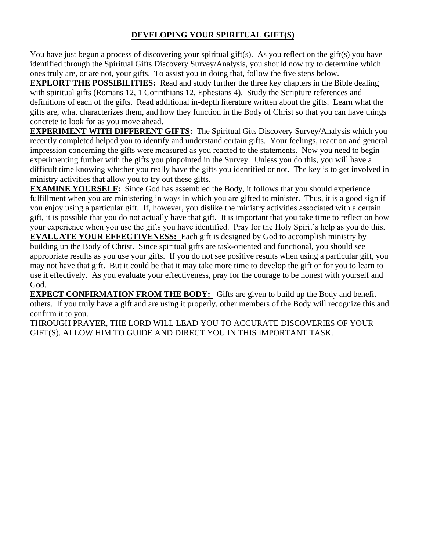### **DEVELOPING YOUR SPIRITUAL GIFT(S)**

You have just begun a process of discovering your spiritual gift(s). As you reflect on the gift(s) you have identified through the Spiritual Gifts Discovery Survey/Analysis, you should now try to determine which ones truly are, or are not, your gifts. To assist you in doing that, follow the five steps below.

**EXPLORT THE POSSIBILITIES:** Read and study further the three key chapters in the Bible dealing with spiritual gifts (Romans 12, 1 Corinthians 12, Ephesians 4). Study the Scripture references and definitions of each of the gifts. Read additional in-depth literature written about the gifts. Learn what the gifts are, what characterizes them, and how they function in the Body of Christ so that you can have things concrete to look for as you move ahead.

**EXPERIMENT WITH DIFFERENT GIFTS:** The Spiritual Gits Discovery Survey/Analysis which you recently completed helped you to identify and understand certain gifts. Your feelings, reaction and general impression concerning the gifts were measured as you reacted to the statements. Now you need to begin experimenting further with the gifts you pinpointed in the Survey. Unless you do this, you will have a difficult time knowing whether you really have the gifts you identified or not. The key is to get involved in ministry activities that allow you to try out these gifts.

**EXAMINE YOURSELF:** Since God has assembled the Body, it follows that you should experience fulfillment when you are ministering in ways in which you are gifted to minister. Thus, it is a good sign if you enjoy using a particular gift. If, however, you dislike the ministry activities associated with a certain gift, it is possible that you do not actually have that gift. It is important that you take time to reflect on how your experience when you use the gifts you have identified. Pray for the Holy Spirit's help as you do this. **EVALUATE YOUR EFFECTIVENESS:** Each gift is designed by God to accomplish ministry by building up the Body of Christ. Since spiritual gifts are task-oriented and functional, you should see appropriate results as you use your gifts. If you do not see positive results when using a particular gift, you may not have that gift. But it could be that it may take more time to develop the gift or for you to learn to use it effectively. As you evaluate your effectiveness, pray for the courage to be honest with yourself and God.

**EXPECT CONFIRMATION FROM THE BODY:** Gifts are given to build up the Body and benefit others. If you truly have a gift and are using it properly, other members of the Body will recognize this and confirm it to you.

THROUGH PRAYER, THE LORD WILL LEAD YOU TO ACCURATE DISCOVERIES OF YOUR GIFT(S). ALLOW HIM TO GUIDE AND DIRECT YOU IN THIS IMPORTANT TASK.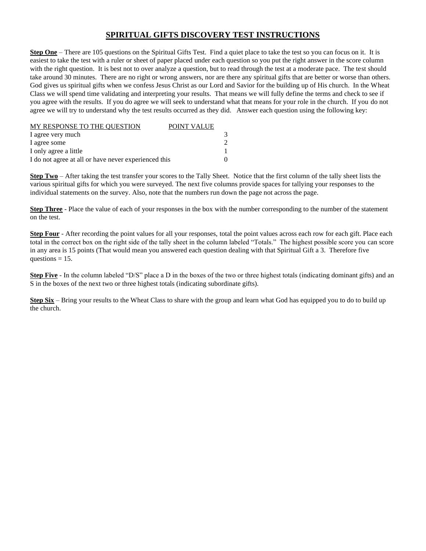#### **SPIRITUAL GIFTS DISCOVERY TEST INSTRUCTIONS**

**Step One** – There are 105 questions on the Spiritual Gifts Test. Find a quiet place to take the test so you can focus on it. It is easiest to take the test with a ruler or sheet of paper placed under each question so you put the right answer in the score column with the right question. It is best not to over analyze a question, but to read through the test at a moderate pace. The test should take around 30 minutes. There are no right or wrong answers, nor are there any spiritual gifts that are better or worse than others. God gives us spiritual gifts when we confess Jesus Christ as our Lord and Savior for the building up of His church. In the Wheat Class we will spend time validating and interpreting your results. That means we will fully define the terms and check to see if you agree with the results. If you do agree we will seek to understand what that means for your role in the church. If you do not agree we will try to understand why the test results occurred as they did. Answer each question using the following key:

| MY RESPONSE TO THE QUESTION<br>POINT VALUE           |  |
|------------------------------------------------------|--|
| I agree very much                                    |  |
| I agree some                                         |  |
| I only agree a little                                |  |
| I do not agree at all or have never experienced this |  |

**Step Two** – After taking the test transfer your scores to the Tally Sheet. Notice that the first column of the tally sheet lists the various spiritual gifts for which you were surveyed. The next five columns provide spaces for tallying your responses to the individual statements on the survey. Also, note that the numbers run down the page not across the page.

**Step Three** - Place the value of each of your responses in the box with the number corresponding to the number of the statement on the test.

**Step Four** - After recording the point values for all your responses, total the point values across each row for each gift. Place each total in the correct box on the right side of the tally sheet in the column labeled "Totals." The highest possible score you can score in any area is 15 points (That would mean you answered each question dealing with that Spiritual Gift a 3. Therefore five questions  $= 15$ .

Step Five - In the column labeled "D/S" place a D in the boxes of the two or three highest totals (indicating dominant gifts) and an S in the boxes of the next two or three highest totals (indicating subordinate gifts).

**Step Six** – Bring your results to the Wheat Class to share with the group and learn what God has equipped you to do to build up the church.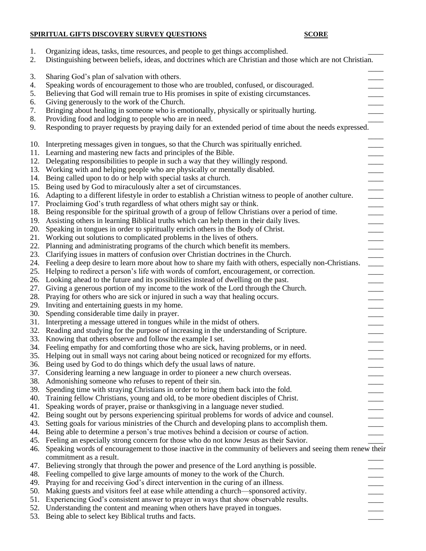# **SPIRITUAL GIFTS DISCOVERY SURVEY QUESTIONS SCORE**

| 1.<br>2. | Organizing ideas, tasks, time resources, and people to get things accomplished.<br>Distinguishing between beliefs, ideas, and doctrines which are Christian and those which are not Christian. |
|----------|------------------------------------------------------------------------------------------------------------------------------------------------------------------------------------------------|
|          |                                                                                                                                                                                                |
| 3.       | Sharing God's plan of salvation with others.                                                                                                                                                   |
| 4.       | Speaking words of encouragement to those who are troubled, confused, or discouraged.                                                                                                           |
| 5.       | Believing that God will remain true to His promises in spite of existing circumstances.                                                                                                        |
| 6.       | Giving generously to the work of the Church.                                                                                                                                                   |
| 7.       | Bringing about healing in someone who is emotionally, physically or spiritually hurting.                                                                                                       |
| 8.       | Providing food and lodging to people who are in need.                                                                                                                                          |
| 9.       | Responding to prayer requests by praying daily for an extended period of time about the needs expressed.                                                                                       |
|          | 10. Interpreting messages given in tongues, so that the Church was spiritually enriched.                                                                                                       |
|          | 11. Learning and mastering new facts and principles of the Bible.                                                                                                                              |
| 12.      | Delegating responsibilities to people in such a way that they willingly respond.                                                                                                               |
| 13.      | Working with and helping people who are physically or mentally disabled.<br>$\frac{1}{2}$                                                                                                      |
| 14.      | Being called upon to do or help with special tasks at church.                                                                                                                                  |
|          | 15. Being used by God to miraculously alter a set of circumstances.                                                                                                                            |
| 16.      | Adapting to a different lifestyle in order to establish a Christian witness to people of another culture.                                                                                      |
|          | 17. Proclaiming God's truth regardless of what others might say or think.                                                                                                                      |
|          | 18. Being responsible for the spiritual growth of a group of fellow Christians over a period of time.<br>$\overline{\phantom{a}}$                                                              |
| 19.      | Assisting others in learning Biblical truths which can help them in their daily lives.<br>$\frac{1}{2}$                                                                                        |
| 20.      | Speaking in tongues in order to spiritually enrich others in the Body of Christ.                                                                                                               |
|          | 21. Working out solutions to complicated problems in the lives of others.<br>$\frac{1}{1}$                                                                                                     |
| 22.      | Planning and administrating programs of the church which benefit its members.<br>$\frac{1}{2}$                                                                                                 |
| 23.      | Clarifying issues in matters of confusion over Christian doctrines in the Church.                                                                                                              |
| 24.      | Feeling a deep desire to learn more about how to share my faith with others, especially non-Christians.                                                                                        |
| 25.      | Helping to redirect a person's life with words of comfort, encouragement, or correction.<br>$\frac{1}{1}$                                                                                      |
| 26.      | Looking ahead to the future and its possibilities instead of dwelling on the past.                                                                                                             |
| 27.      | Giving a generous portion of my income to the work of the Lord through the Church.                                                                                                             |
| 28.      | Praying for others who are sick or injured in such a way that healing occurs.                                                                                                                  |
| 29.      | Inviting and entertaining guests in my home.                                                                                                                                                   |
| 30.      | Spending considerable time daily in prayer.                                                                                                                                                    |
| 31.      | Interpreting a message uttered in tongues while in the midst of others.                                                                                                                        |
| 32.      | Reading and studying for the purpose of increasing in the understanding of Scripture.                                                                                                          |
|          | 33. Knowing that others observe and follow the example I set.                                                                                                                                  |
|          | 34. Feeling empathy for and comforting those who are sick, having problems, or in need.                                                                                                        |
|          | 35. Helping out in small ways not caring about being noticed or recognized for my efforts.                                                                                                     |
|          | 36. Being used by God to do things which defy the usual laws of nature.                                                                                                                        |
| 37.      | Considering learning a new language in order to pioneer a new church overseas.                                                                                                                 |
| 38.      | Admonishing someone who refuses to repent of their sin.                                                                                                                                        |
| 39.      | Spending time with straying Christians in order to bring them back into the fold.                                                                                                              |
| 40.      | Training fellow Christians, young and old, to be more obedient disciples of Christ.                                                                                                            |
| 41.      | Speaking words of prayer, praise or thanksgiving in a language never studied.                                                                                                                  |
| 42.      | Being sought out by persons experiencing spiritual problems for words of advice and counsel.                                                                                                   |
| 43.      | Setting goals for various ministries of the Church and developing plans to accomplish them.                                                                                                    |
| 44.      | Being able to determine a person's true motives behind a decision or course of action.                                                                                                         |
| 45.      | Feeling an especially strong concern for those who do not know Jesus as their Savior.                                                                                                          |
| 46.      | Speaking words of encouragement to those inactive in the community of believers and seeing them renew their                                                                                    |
|          | commitment as a result.                                                                                                                                                                        |
| 47.      | Believing strongly that through the power and presence of the Lord anything is possible.                                                                                                       |
| 48.      | Feeling compelled to give large amounts of money to the work of the Church.                                                                                                                    |
| 49.      | Praying for and receiving God's direct intervention in the curing of an illness.                                                                                                               |
| 50.      | Making guests and visitors feel at ease while attending a church—sponsored activity.                                                                                                           |
| 51.      | Experiencing God's consistent answer to prayer in ways that show observable results.                                                                                                           |
|          | 52. Understanding the content and meaning when others have prayed in tongues.                                                                                                                  |
|          | 53. Being able to select key Biblical truths and facts.                                                                                                                                        |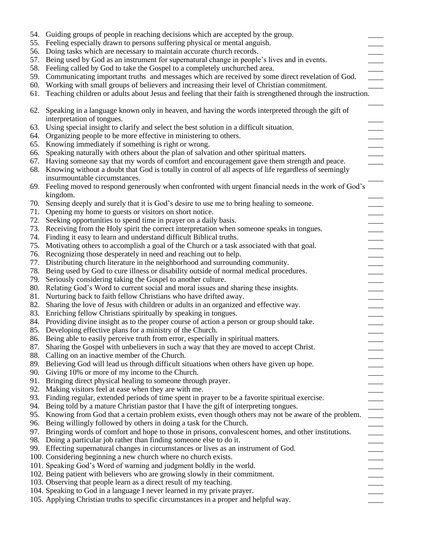|     | 54. Guiding groups of people in reaching decisions which are accepted by the group.                              |
|-----|------------------------------------------------------------------------------------------------------------------|
| 55. | Feeling especially drawn to persons suffering physical or mental anguish.                                        |
| 56. | Doing tasks which are necessary to maintain accurate church records.                                             |
| 57. | Being used by God as an instrument for supernatural change in people's lives and in events.                      |
| 58. | Feeling called by God to take the Gospel to a completely unchurched area.                                        |
| 59. | Communicating important truths and messages which are received by some direct revelation of God.                 |
| 60. | Working with small groups of believers and increasing their level of Christian commitment.                       |
| 61. | Teaching children or adults about Jesus and feeling that their faith is strengthened through the instruction.    |
| 62. | Speaking in a language known only in heaven, and having the words interpreted through the gift of                |
|     | interpretation of tongues.                                                                                       |
| 63. | Using special insight to clarify and select the best solution in a difficult situation.                          |
|     | 64. Organizing people to be more effective in ministering to others.                                             |
|     | 65. Knowing immediately if something is right or wrong.                                                          |
| 66. | Speaking naturally with others about the plan of salvation and other spiritual matters.                          |
|     | 67. Having someone say that my words of comfort and encouragement gave them strength and peace.                  |
|     | 68. Knowing without a doubt that God is totally in control of all aspects of life regardless of seemingly        |
|     | insurmountable circumstances.                                                                                    |
| 69. | Feeling moved to respond generously when confronted with urgent financial needs in the work of God's<br>kingdom. |
| 70. | Sensing deeply and surely that it is God's desire to use me to bring healing to someone.                         |
| 71. | Opening my home to guests or visitors on short notice.                                                           |
| 72. | Seeking opportunities to spend time in prayer on a daily basis.                                                  |
| 73. | Receiving from the Holy spirit the correct interpretation when someone speaks in tongues.                        |
|     | 74. Finding it easy to learn and understand difficult Biblical truths.                                           |
| 75. | Motivating others to accomplish a goal of the Church or a task associated with that goal.                        |
|     | 76. Recognizing those desperately in need and reaching out to help.                                              |
| 77. | Distributing church literature in the neighborhood and surrounding community.                                    |
|     | 78. Being used by God to cure illness or disability outside of normal medical procedures.                        |
| 79. | Seriously considering taking the Gospel to another culture.                                                      |
|     | 80. Relating God's Word to current social and moral issues and sharing these insights.                           |
|     | 81. Nurturing back to faith fellow Christians who have drifted away.                                             |
| 82. | Sharing the love of Jesus with children or adults in an organized and effective way.                             |
|     | 83. Enriching fellow Christians spiritually by speaking in tongues.                                              |
|     | 84. Providing divine insight as to the proper course of action a person or group should take.                    |
|     | 85. Developing effective plans for a ministry of the Church.                                                     |
|     | 86. Being able to easily perceive truth from error, especially in spiritual matters.                             |
|     | 87. Sharing the Gospel with unbelievers in such a way that they are moved to accept Christ.                      |
|     | 88. Calling on an inactive member of the Church.                                                                 |
|     | 89. Believing God will lead us through difficult situations when others have given up hope.                      |
|     | 90. Giving 10% or more of my income to the Church.                                                               |
| 91. | Bringing direct physical healing to someone through prayer.                                                      |
| 92. | Making visitors feel at ease when they are with me.                                                              |
|     | 93. Finding regular, extended periods of time spent in prayer to be a favorite spiritual exercise.               |
|     | 94. Being told by a mature Christian pastor that I have the gift of interpreting tongues.                        |
|     | 95. Knowing from God that a certain problem exists, even though others may not be aware of the problem.          |
|     | 96. Being willingly followed by others in doing a task for the Church.                                           |
|     | 97. Bringing words of comfort and hope to those in prisons, convalescent homes, and other institutions.          |
|     | 98. Doing a particular job rather than finding someone else to do it.                                            |
|     | 99. Effecting supernatural changes in circumstances or lives as an instrument of God.                            |
|     | 100. Considering beginning a new church where no church exists.                                                  |
|     | 101. Speaking God's Word of warning and judgment boldly in the world.                                            |
|     | 102. Being patient with believers who are growing slowly in their commitment.                                    |
|     | 103. Observing that people learn as a direct result of my teaching.                                              |
|     | 104. Speaking to God in a language I never learned in my private prayer.                                         |
|     | 105. Applying Christian truths to specific circumstances in a proper and helpful way.                            |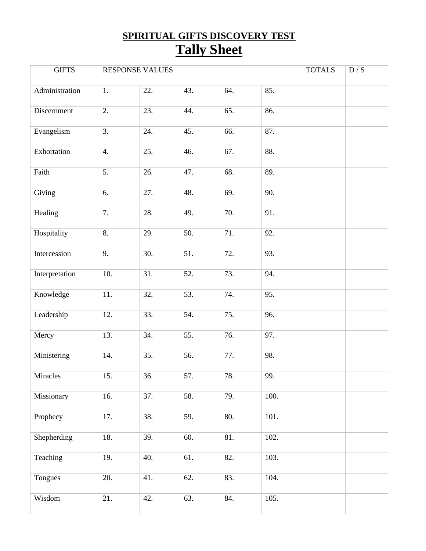# **SPIRITUAL GIFTS DISCOVERY TEST Tally Sheet**

| <b>GIFTS</b>   |     | <b>RESPONSE VALUES</b> |     |     |      | <b>TOTALS</b> | D / S |
|----------------|-----|------------------------|-----|-----|------|---------------|-------|
| Administration | 1.  | 22.                    | 43. | 64. | 85.  |               |       |
| Discernment    | 2.  | 23.                    | 44. | 65. | 86.  |               |       |
| Evangelism     | 3.  | 24.                    | 45. | 66. | 87.  |               |       |
| Exhortation    | 4.  | 25.                    | 46. | 67. | 88.  |               |       |
| Faith          | 5.  | 26.                    | 47. | 68. | 89.  |               |       |
| Giving         | 6.  | 27.                    | 48. | 69. | 90.  |               |       |
| Healing        | 7.  | 28.                    | 49. | 70. | 91.  |               |       |
| Hospitality    | 8.  | 29.                    | 50. | 71. | 92.  |               |       |
| Intercession   | 9.  | 30.                    | 51. | 72. | 93.  |               |       |
| Interpretation | 10. | 31.                    | 52. | 73. | 94.  |               |       |
| Knowledge      | 11. | 32.                    | 53. | 74. | 95.  |               |       |
| Leadership     | 12. | 33.                    | 54. | 75. | 96.  |               |       |
| Mercy          | 13. | 34.                    | 55. | 76. | 97.  |               |       |
| Ministering    | 14. | 35.                    | 56. | 77. | 98.  |               |       |
| Miracles       | 15. | 36.                    | 57. | 78. | 99.  |               |       |
| Missionary     | 16. | 37.                    | 58. | 79. | 100. |               |       |
| Prophecy       | 17. | 38.                    | 59. | 80. | 101. |               |       |
| Shepherding    | 18. | 39.                    | 60. | 81. | 102. |               |       |
| Teaching       | 19. | 40.                    | 61. | 82. | 103. |               |       |
| Tongues        | 20. | 41.                    | 62. | 83. | 104. |               |       |
| Wisdom         | 21. | 42.                    | 63. | 84. | 105. |               |       |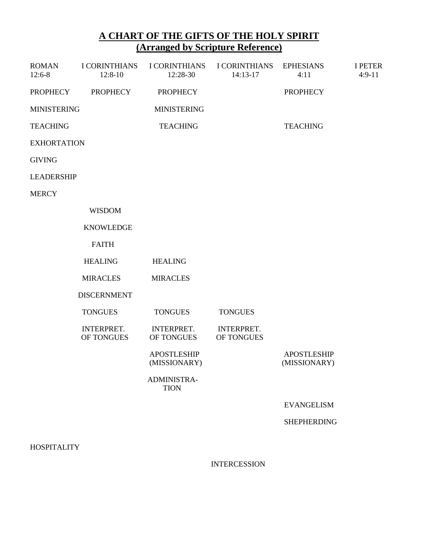## **A CHART OF THE GIFTS OF THE HOLY SPIRIT (Arranged by Scripture Reference)**

| <b>ROMAN</b><br>$12:6-8$ | <b>I CORINTHIANS</b><br>$12:8-10$ | <b>I CORINTHIANS</b><br>12:28-30   | <b>I CORINTHIANS</b><br>14:13-17 | <b>EPHESIANS</b><br>4:11           | <b>I PETER</b><br>$4:9-11$ |
|--------------------------|-----------------------------------|------------------------------------|----------------------------------|------------------------------------|----------------------------|
| <b>PROPHECY</b>          | <b>PROPHECY</b>                   | <b>PROPHECY</b>                    |                                  | <b>PROPHECY</b>                    |                            |
| <b>MINISTERING</b>       |                                   | <b>MINISTERING</b>                 |                                  |                                    |                            |
| <b>TEACHING</b>          |                                   | <b>TEACHING</b>                    |                                  | <b>TEACHING</b>                    |                            |
| <b>EXHORTATION</b>       |                                   |                                    |                                  |                                    |                            |
| <b>GIVING</b>            |                                   |                                    |                                  |                                    |                            |
| <b>LEADERSHIP</b>        |                                   |                                    |                                  |                                    |                            |
| <b>MERCY</b>             |                                   |                                    |                                  |                                    |                            |
|                          | <b>WISDOM</b>                     |                                    |                                  |                                    |                            |
|                          | <b>KNOWLEDGE</b>                  |                                    |                                  |                                    |                            |
|                          | <b>FAITH</b>                      |                                    |                                  |                                    |                            |
|                          | <b>HEALING</b>                    | <b>HEALING</b>                     |                                  |                                    |                            |
|                          | <b>MIRACLES</b>                   | <b>MIRACLES</b>                    |                                  |                                    |                            |
|                          | <b>DISCERNMENT</b>                |                                    |                                  |                                    |                            |
|                          | <b>TONGUES</b>                    | <b>TONGUES</b>                     | <b>TONGUES</b>                   |                                    |                            |
|                          | INTERPRET.<br>OF TONGUES          | <b>INTERPRET.</b><br>OF TONGUES    | <b>INTERPRET.</b><br>OF TONGUES  |                                    |                            |
|                          |                                   | <b>APOSTLESHIP</b><br>(MISSIONARY) |                                  | <b>APOSTLESHIP</b><br>(MISSIONARY) |                            |
|                          |                                   | ADMINISTRA-<br><b>TION</b>         |                                  |                                    |                            |
|                          |                                   |                                    |                                  | <b>EVANGELISM</b>                  |                            |
|                          |                                   |                                    |                                  | <b>SHEPHERDING</b>                 |                            |
| <b>HOSPITALITY</b>       |                                   |                                    |                                  |                                    |                            |

INTERCESSION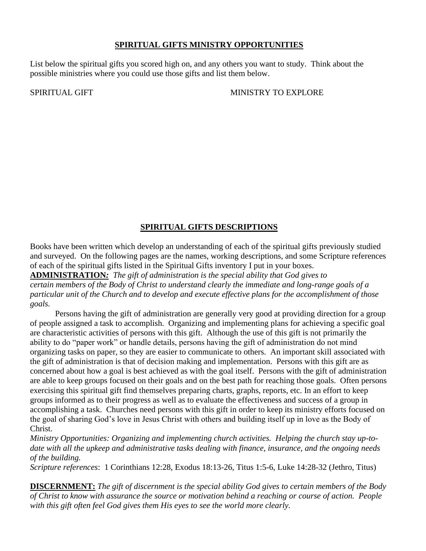#### **SPIRITUAL GIFTS MINISTRY OPPORTUNITIES**

List below the spiritual gifts you scored high on, and any others you want to study. Think about the possible ministries where you could use those gifts and list them below.

SPIRITUAL GIFT **MINISTRY TO EXPLORE** 

### **SPIRITUAL GIFTS DESCRIPTIONS**

Books have been written which develop an understanding of each of the spiritual gifts previously studied and surveyed. On the following pages are the names, working descriptions, and some Scripture references of each of the spiritual gifts listed in the Spiritual Gifts inventory I put in your boxes.

**ADMINISTRATION***: The gift of administration is the special ability that God gives to certain members of the Body of Christ to understand clearly the immediate and long-range goals of a particular unit of the Church and to develop and execute effective plans for the accomplishment of those goals.*

Persons having the gift of administration are generally very good at providing direction for a group of people assigned a task to accomplish. Organizing and implementing plans for achieving a specific goal are characteristic activities of persons with this gift. Although the use of this gift is not primarily the ability to do "paper work" or handle details, persons having the gift of administration do not mind organizing tasks on paper, so they are easier to communicate to others. An important skill associated with the gift of administration is that of decision making and implementation. Persons with this gift are as concerned about how a goal is best achieved as with the goal itself. Persons with the gift of administration are able to keep groups focused on their goals and on the best path for reaching those goals. Often persons exercising this spiritual gift find themselves preparing charts, graphs, reports, etc. In an effort to keep groups informed as to their progress as well as to evaluate the effectiveness and success of a group in accomplishing a task. Churches need persons with this gift in order to keep its ministry efforts focused on the goal of sharing God's love in Jesus Christ with others and building itself up in love as the Body of Christ.

*Ministry Opportunities: Organizing and implementing church activities. Helping the church stay up-todate with all the upkeep and administrative tasks dealing with finance, insurance, and the ongoing needs of the building.* 

*Scripture references*: 1 Corinthians 12:28, Exodus 18:13-26, Titus 1:5-6, Luke 14:28-32 (Jethro, Titus)

**DISCERNMENT:** *The gift of discernment is the special ability God gives to certain members of the Body of Christ to know with assurance the source or motivation behind a reaching or course of action. People with this gift often feel God gives them His eyes to see the world more clearly.*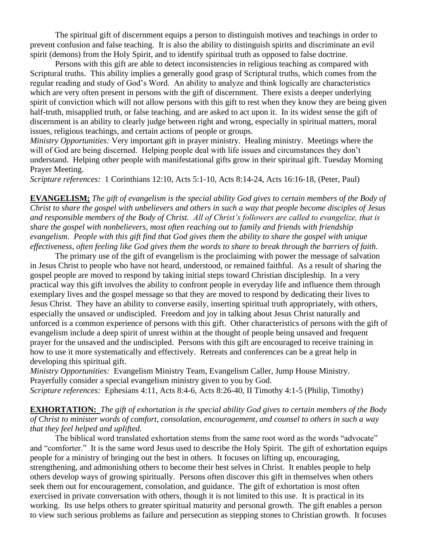The spiritual gift of discernment equips a person to distinguish motives and teachings in order to prevent confusion and false teaching. It is also the ability to distinguish spirits and discriminate an evil spirit (demons) from the Holy Spirit, and to identify spiritual truth as opposed to false doctrine.

Persons with this gift are able to detect inconsistencies in religious teaching as compared with Scriptural truths. This ability implies a generally good grasp of Scriptural truths, which comes from the regular reading and study of God's Word. An ability to analyze and think logically are characteristics which are very often present in persons with the gift of discernment. There exists a deeper underlying spirit of conviction which will not allow persons with this gift to rest when they know they are being given half-truth, misapplied truth, or false teaching, and are asked to act upon it. In its widest sense the gift of discernment is an ability to clearly judge between right and wrong, especially in spiritual matters, moral issues, religious teachings, and certain actions of people or groups.

*Ministry Opportunities:* Very important gift in prayer ministry. Healing ministry. Meetings where the will of God are being discerned. Helping people deal with life issues and circumstances they don't understand. Helping other people with manifestational gifts grow in their spiritual gift. Tuesday Morning Prayer Meeting.

*Scripture references:* 1 Corinthians 12:10, Acts 5:1-10, Acts 8:14-24, Acts 16:16-18, (Peter, Paul)

**EVANGELISM;** *The gift of evangelism is the special ability God gives to certain members of the Body of Christ to share the gospel with unbelievers and others in such a way that people become disciples of Jesus and responsible members of the Body of Christ. All of Christ's followers are called to evangelize, that is share the gospel with nonbelievers, most often reaching out to family and friends with friendship evangelism. People with this gift find that God gives them the ability to share the gospel with unique effectiveness, often feeling like God gives them the words to share to break through the barriers of faith.* 

The primary use of the gift of evangelism is the proclaiming with power the message of salvation in Jesus Christ to people who have not heard, understood, or remained faithful. As a result of sharing the gospel people are moved to respond by taking initial steps toward Christian discipleship. In a very practical way this gift involves the ability to confront people in everyday life and influence them through exemplary lives and the gospel message so that they are moved to respond by dedicating their lives to Jesus Christ. They have an ability to converse easily, inserting spiritual truth appropriately, with others, especially the unsaved or undiscipled. Freedom and joy in talking about Jesus Christ naturally and unforced is a common experience of persons with this gift. Other characteristics of persons with the gift of evangelism include a deep spirit of unrest within at the thought of people being unsaved and frequent prayer for the unsaved and the undiscipled. Persons with this gift are encouraged to receive training in how to use it more systematically and effectively. Retreats and conferences can be a great help in developing this spiritual gift.

*Ministry Opportunities:* Evangelism Ministry Team, Evangelism Caller, Jump House Ministry. Prayerfully consider a special evangelism ministry given to you by God. *Scripture references:* Ephesians 4:11, Acts 8:4-6, Acts 8:26-40, II Timothy 4:1-5 (Philip, Timothy)

**EXHORTATION:** *The gift of exhortation is the special ability God gives to certain members of the Body of Christ to minister words of comfort, consolation, encouragement, and counsel to others in such a way that they feel helped and uplifted.*

The biblical word translated exhortation stems from the same root word as the words "advocate" and "comforter." It is the same word Jesus used to describe the Holy Spirit. The gift of exhortation equips people for a ministry of bringing out the best in others. It focuses on lifting up, encouraging, strengthening, and admonishing others to become their best selves in Christ. It enables people to help others develop ways of growing spiritually. Persons often discover this gift in themselves when others seek them out for encouragement, consolation, and guidance. The gift of exhortation is most often exercised in private conversation with others, though it is not limited to this use. It is practical in its working. Its use helps others to greater spiritual maturity and personal growth. The gift enables a person to view such serious problems as failure and persecution as stepping stones to Christian growth. It focuses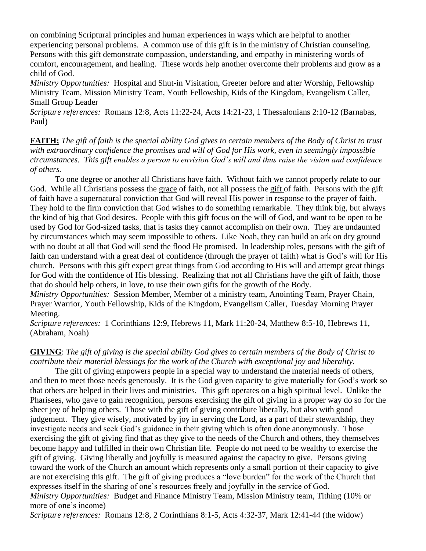on combining Scriptural principles and human experiences in ways which are helpful to another experiencing personal problems. A common use of this gift is in the ministry of Christian counseling. Persons with this gift demonstrate compassion, understanding, and empathy in ministering words of comfort, encouragement, and healing. These words help another overcome their problems and grow as a child of God.

*Ministry Opportunities:* Hospital and Shut-in Visitation, Greeter before and after Worship, Fellowship Ministry Team, Mission Ministry Team, Youth Fellowship, Kids of the Kingdom, Evangelism Caller, Small Group Leader

*Scripture references:* Romans 12:8, Acts 11:22-24, Acts 14:21-23, 1 Thessalonians 2:10-12 (Barnabas, Paul)

**FAITH;** *The gift of faith is the special ability God gives to certain members of the Body of Christ to trust with extraordinary confidence the promises and will of God for His work, even in seemingly impossible circumstances. This gift enables a person to envision God's will and thus raise the vision and confidence of others.*

To one degree or another all Christians have faith. Without faith we cannot properly relate to our God. While all Christians possess the grace of faith, not all possess the gift of faith. Persons with the gift of faith have a supernatural conviction that God will reveal His power in response to the prayer of faith. They hold to the firm conviction that God wishes to do something remarkable. They think big, but always the kind of big that God desires. People with this gift focus on the will of God, and want to be open to be used by God for God-sized tasks, that is tasks they cannot accomplish on their own. They are undaunted by circumstances which may seem impossible to others. Like Noah, they can build an ark on dry ground with no doubt at all that God will send the flood He promised. In leadership roles, persons with the gift of faith can understand with a great deal of confidence (through the prayer of faith) what is God's will for His church. Persons with this gift expect great things from God according to His will and attempt great things for God with the confidence of His blessing. Realizing that not all Christians have the gift of faith, those that do should help others, in love, to use their own gifts for the growth of the Body.

*Ministry Opportunities:* Session Member, Member of a ministry team, Anointing Team, Prayer Chain, Prayer Warrior, Youth Fellowship, Kids of the Kingdom, Evangelism Caller, Tuesday Morning Prayer Meeting.

*Scripture references:* 1 Corinthians 12:9, Hebrews 11, Mark 11:20-24, Matthew 8:5-10, Hebrews 11, (Abraham, Noah)

#### **GIVING**: *The gift of giving is the special ability God gives to certain members of the Body of Christ to contribute their material blessings for the work of the Church with exceptional joy and liberality.*

The gift of giving empowers people in a special way to understand the material needs of others, and then to meet those needs generously. It is the God given capacity to give materially for God's work so that others are helped in their lives and ministries. This gift operates on a high spiritual level. Unlike the Pharisees, who gave to gain recognition, persons exercising the gift of giving in a proper way do so for the sheer joy of helping others. Those with the gift of giving contribute liberally, but also with good judgement. They give wisely, motivated by joy in serving the Lord, as a part of their stewardship, they investigate needs and seek God's guidance in their giving which is often done anonymously. Those exercising the gift of giving find that as they give to the needs of the Church and others, they themselves become happy and fulfilled in their own Christian life. People do not need to be wealthy to exercise the gift of giving. Giving liberally and joyfully is measured against the capacity to give. Persons giving toward the work of the Church an amount which represents only a small portion of their capacity to give are not exercising this gift. The gift of giving produces a "love burden" for the work of the Church that expresses itself in the sharing of one's resources freely and joyfully in the service of God. *Ministry Opportunities:* Budget and Finance Ministry Team, Mission Ministry team, Tithing (10% or more of one's income)

*Scripture references:* Romans 12:8, 2 Corinthians 8:1-5, Acts 4:32-37, Mark 12:41-44 (the widow)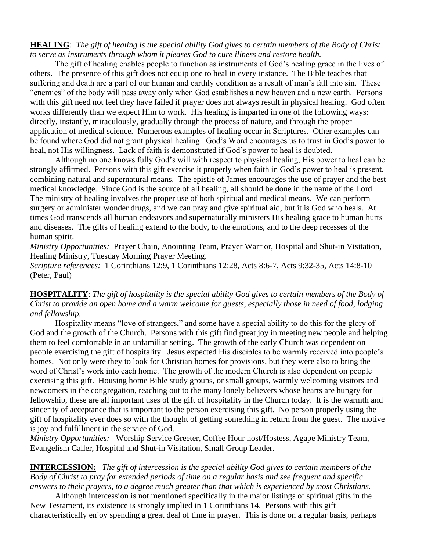**HEALING**: *The gift of healing is the special ability God gives to certain members of the Body of Christ to serve as instruments through whom it pleases God to cure illness and restore health.*

The gift of healing enables people to function as instruments of God's healing grace in the lives of others. The presence of this gift does not equip one to heal in every instance. The Bible teaches that suffering and death are a part of our human and earthly condition as a result of man's fall into sin. These "enemies" of the body will pass away only when God establishes a new heaven and a new earth. Persons with this gift need not feel they have failed if prayer does not always result in physical healing. God often works differently than we expect Him to work. His healing is imparted in one of the following ways: directly, instantly, miraculously, gradually through the process of nature, and through the proper application of medical science. Numerous examples of healing occur in Scriptures. Other examples can be found where God did not grant physical healing. God's Word encourages us to trust in God's power to heal, not His willingness. Lack of faith is demonstrated if God's power to heal is doubted.

Although no one knows fully God's will with respect to physical healing, His power to heal can be strongly affirmed. Persons with this gift exercise it properly when faith in God's power to heal is present, combining natural and supernatural means. The epistle of James encourages the use of prayer and the best medical knowledge. Since God is the source of all healing, all should be done in the name of the Lord. The ministry of healing involves the proper use of both spiritual and medical means. We can perform surgery or administer wonder drugs, and we can pray and give spiritual aid, but it is God who heals. At times God transcends all human endeavors and supernaturally ministers His healing grace to human hurts and diseases. The gifts of healing extend to the body, to the emotions, and to the deep recesses of the human spirit.

*Ministry Opportunities:* Prayer Chain, Anointing Team, Prayer Warrior, Hospital and Shut-in Visitation, Healing Ministry, Tuesday Morning Prayer Meeting.

*Scripture references:* 1 Corinthians 12:9, 1 Corinthians 12:28, Acts 8:6-7, Acts 9:32-35, Acts 14:8-10 (Peter, Paul)

**HOSPITALITY**: *The gift of hospitality is the special ability God gives to certain members of the Body of Christ to provide an open home and a warm welcome for guests, especially those in need of food, lodging and fellowship.*

Hospitality means "love of strangers," and some have a special ability to do this for the glory of God and the growth of the Church. Persons with this gift find great joy in meeting new people and helping them to feel comfortable in an unfamiliar setting. The growth of the early Church was dependent on people exercising the gift of hospitality. Jesus expected His disciples to be warmly received into people's homes. Not only were they to look for Christian homes for provisions, but they were also to bring the word of Christ's work into each home. The growth of the modern Church is also dependent on people exercising this gift. Housing home Bible study groups, or small groups, warmly welcoming visitors and newcomers in the congregation, reaching out to the many lonely believers whose hearts are hungry for fellowship, these are all important uses of the gift of hospitality in the Church today. It is the warmth and sincerity of acceptance that is important to the person exercising this gift. No person properly using the gift of hospitality ever does so with the thought of getting something in return from the guest. The motive is joy and fulfillment in the service of God.

*Ministry Opportunities:* Worship Service Greeter, Coffee Hour host/Hostess, Agape Ministry Team, Evangelism Caller, Hospital and Shut-in Visitation, Small Group Leader.

#### **INTERCESSION:** *The gift of intercession is the special ability God gives to certain members of the Body of Christ to pray for extended periods of time on a regular basis and see frequent and specific answers to their prayers, to a degree much greater than that which is experienced by most Christians.*

Although intercession is not mentioned specifically in the major listings of spiritual gifts in the New Testament, its existence is strongly implied in 1 Corinthians 14. Persons with this gift characteristically enjoy spending a great deal of time in prayer. This is done on a regular basis, perhaps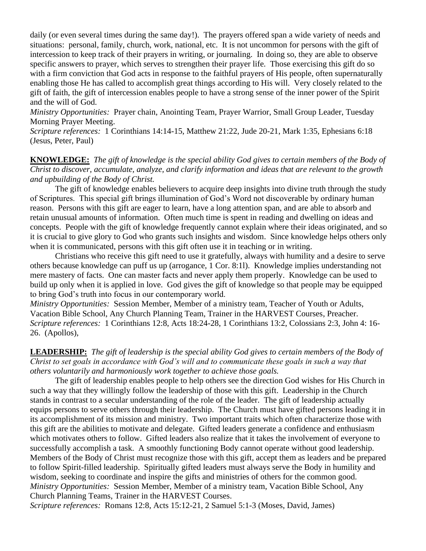daily (or even several times during the same day!). The prayers offered span a wide variety of needs and situations: personal, family, church, work, national, etc. It is not uncommon for persons with the gift of intercession to keep track of their prayers in writing, or journaling. In doing so, they are able to observe specific answers to prayer, which serves to strengthen their prayer life. Those exercising this gift do so with a firm conviction that God acts in response to the faithful prayers of His people, often supernaturally enabling those He has called to accomplish great things according to His will. Very closely related to the gift of faith, the gift of intercession enables people to have a strong sense of the inner power of the Spirit and the will of God.

*Ministry Opportunities:* Prayer chain, Anointing Team, Prayer Warrior, Small Group Leader, Tuesday Morning Prayer Meeting.

*Scripture references:* 1 Corinthians 14:14-15, Matthew 21:22, Jude 20-21, Mark 1:35, Ephesians 6:18 (Jesus, Peter, Paul)

**KNOWLEDGE:** *The gift of knowledge is the special ability God gives to certain members of the Body of Christ to discover, accumulate, analyze, and clarify information and ideas that are relevant to the growth and upbuilding of the Body of Christ.*

The gift of knowledge enables believers to acquire deep insights into divine truth through the study of Scriptures. This special gift brings illumination of God's Word not discoverable by ordinary human reason. Persons with this gift are eager to learn, have a long attention span, and are able to absorb and retain unusual amounts of information. Often much time is spent in reading and dwelling on ideas and concepts. People with the gift of knowledge frequently cannot explain where their ideas originated, and so it is crucial to give glory to God who grants such insights and wisdom. Since knowledge helps others only when it is communicated, persons with this gift often use it in teaching or in writing.

Christians who receive this gift need to use it gratefully, always with humility and a desire to serve others because knowledge can puff us up (arrogance, 1 Cor. 8:1l). Knowledge implies understanding not mere mastery of facts. One can master facts and never apply them properly. Knowledge can be used to build up only when it is applied in love. God gives the gift of knowledge so that people may be equipped to bring God's truth into focus in our contemporary world.

*Ministry Opportunities:* Session Member, Member of a ministry team, Teacher of Youth or Adults, Vacation Bible School, Any Church Planning Team, Trainer in the HARVEST Courses, Preacher. *Scripture references:* 1 Corinthians 12:8, Acts 18:24-28, 1 Corinthians 13:2, Colossians 2:3, John 4: 16- 26. (Apollos),

#### **LEADERSHIP:** *The gift of leadership is the special ability God gives to certain members of the Body of Christ to set goals in accordance with God's will and to communicate these goals in such a way that others voluntarily and harmoniously work together to achieve those goals.*

The gift of leadership enables people to help others see the direction God wishes for His Church in such a way that they willingly follow the leadership of those with this gift. Leadership in the Church stands in contrast to a secular understanding of the role of the leader. The gift of leadership actually equips persons to serve others through their leadership. The Church must have gifted persons leading it in its accomplishment of its mission and ministry. Two important traits which often characterize those with this gift are the abilities to motivate and delegate. Gifted leaders generate a confidence and enthusiasm which motivates others to follow. Gifted leaders also realize that it takes the involvement of everyone to successfully accomplish a task. A smoothly functioning Body cannot operate without good leadership. Members of the Body of Christ must recognize those with this gift, accept them as leaders and be prepared to follow Spirit-filled leadership. Spiritually gifted leaders must always serve the Body in humility and wisdom, seeking to coordinate and inspire the gifts and ministries of others for the common good. *Ministry Opportunities:* Session Member, Member of a ministry team, Vacation Bible School, Any Church Planning Teams, Trainer in the HARVEST Courses.

*Scripture references:* Romans 12:8, Acts 15:12-21, 2 Samuel 5:1-3 (Moses, David, James)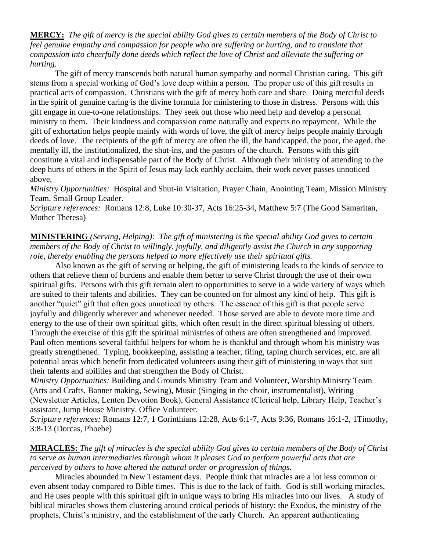**MERCY:** *The gift of mercy is the special ability God gives to certain members of the Body of Christ to feel genuine empathy and compassion for people who are suffering or hurting, and to translate that compassion into cheerfully done deeds which reflect the love of Christ and alleviate the suffering or hurting.*

The gift of mercy transcends both natural human sympathy and normal Christian caring. This gift stems from a special working of God's love deep within a person. The proper use of this gift results in practical acts of compassion. Christians with the gift of mercy both care and share. Doing merciful deeds in the spirit of genuine caring is the divine formula for ministering to those in distress. Persons with this gift engage in one-to-one relationships. They seek out those who need help and develop a personal ministry to them. Their kindness and compassion come naturally and expects no repayment. While the gift of exhortation helps people mainly with words of love, the gift of mercy helps people mainly through deeds of love. The recipients of the gift of mercy are often the ill, the handicapped, the poor, the aged, the mentally ill, the institutionalized, the shut-ins, and the pastors of the church. Persons with this gift constitute a vital and indispensable part of the Body of Christ. Although their ministry of attending to the deep hurts of others in the Spirit of Jesus may lack earthly acclaim, their work never passes unnoticed above.

*Ministry Opportunities:* Hospital and Shut-in Visitation, Prayer Chain, Anointing Team, Mission Ministry Team, Small Group Leader.

*Scripture references:* Romans 12:8, Luke 10:30-37, Acts 16:25-34, Matthew 5:7 (The Good Samaritan, Mother Theresa)

#### **MINISTERING** *(Serving, Helping): The gift of ministering is the special ability God gives to certain members of the Body of Christ to willingly, joyfully, and diligently assist the Church in any supporting role, thereby enabling the persons helped to more effectively use their spiritual gifts.*

Also known as the gift of serving or helping, the gift of ministering leads to the kinds of service to others that relieve them of burdens and enable them better to serve Christ through the use of their own spiritual gifts. Persons with this gift remain alert to opportunities to serve in a wide variety of ways which are suited to their talents and abilities. They can be counted on for almost any kind of help. This gift is another "quiet" gift that often goes unnoticed by others. The essence of this gift is that people serve joyfully and diligently wherever and whenever needed. Those served are able to devote more time and energy to the use of their own spiritual gifts, which often result in the direct spiritual blessing of others. Through the exercise of this gift the spiritual ministries of others are often strengthened and improved. Paul often mentions several faithful helpers for whom he is thankful and through whom his ministry was greatly strengthened. Typing, bookkeeping, assisting a teacher, filing, taping church services, etc. are all potential areas which benefit from dedicated volunteers using their gift of ministering in ways that suit their talents and abilities and that strengthen the Body of Christ.

*Ministry Opportunities:* Building and Grounds Ministry Team and Volunteer, Worship Ministry Team (Arts and Crafts, Banner making, Sewing), Music (Singing in the choir, instrumentalist), Writing (Newsletter Articles, Lenten Devotion Book), General Assistance (Clerical help, Library Help, Teacher's assistant, Jump House Ministry. Office Volunteer.

*Scripture references:* Romans 12:7, 1 Corinthians 12:28, Acts 6:1-7, Acts 9:36, Romans 16:1-2, 1Timothy, 3:8-13 (Dorcas, Phoebe)

#### **MIRACLES:** *The gift of miracles is the special ability God gives to certain members of the Body of Christ to serve as human intermediaries through whom it pleases God to perform powerful acts that are perceived by others to have altered the natural order or progression of things.*

Miracles abounded in New Testament days. People think that miracles are a lot less common or even absent today compared to Bible times. This is due to the lack of faith. God is still working miracles, and He uses people with this spiritual gift in unique ways to bring His miracles into our lives. A study of biblical miracles shows them clustering around critical periods of history: the Exodus, the ministry of the prophets, Christ's ministry, and the establishment of the early Church. An apparent authenticating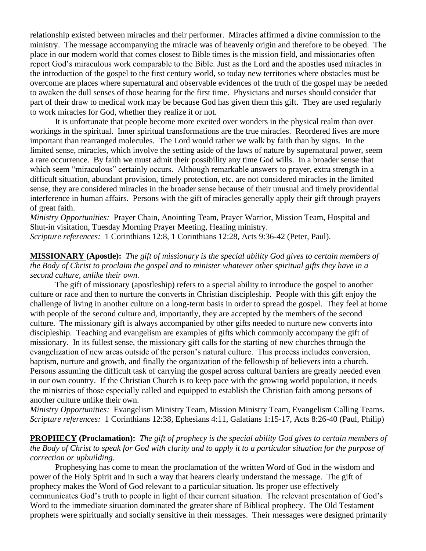relationship existed between miracles and their performer. Miracles affirmed a divine commission to the ministry. The message accompanying the miracle was of heavenly origin and therefore to be obeyed. The place in our modern world that comes closest to Bible times is the mission field, and missionaries often report God's miraculous work comparable to the Bible. Just as the Lord and the apostles used miracles in the introduction of the gospel to the first century world, so today new territories where obstacles must be overcome are places where supernatural and observable evidences of the truth of the gospel may be needed to awaken the dull senses of those hearing for the first time. Physicians and nurses should consider that part of their draw to medical work may be because God has given them this gift. They are used regularly to work miracles for God, whether they realize it or not.

It is unfortunate that people become more excited over wonders in the physical realm than over workings in the spiritual. Inner spiritual transformations are the true miracles. Reordered lives are more important than rearranged molecules. The Lord would rather we walk by faith than by signs. In the limited sense, miracles, which involve the setting aside of the laws of nature by supernatural power, seem a rare occurrence. By faith we must admit their possibility any time God wills. In a broader sense that which seem "miraculous" certainly occurs. Although remarkable answers to prayer, extra strength in a difficult situation, abundant provision, timely protection, etc. are not considered miracles in the limited sense, they are considered miracles in the broader sense because of their unusual and timely providential interference in human affairs. Persons with the gift of miracles generally apply their gift through prayers of great faith.

*Ministry Opportunities:* Prayer Chain, Anointing Team, Prayer Warrior, Mission Team, Hospital and Shut-in visitation, Tuesday Morning Prayer Meeting, Healing ministry.

*Scripture references:* 1 Corinthians 12:8, 1 Corinthians 12:28, Acts 9:36-42 (Peter, Paul).

#### **MISSIONARY (Apostle):** *The gift of missionary is the special ability God gives to certain members of the Body of Christ to proclaim the gospel and to minister whatever other spiritual gifts they have in a second culture, unlike their own.*

The gift of missionary (apostleship) refers to a special ability to introduce the gospel to another culture or race and then to nurture the converts in Christian discipleship. People with this gift enjoy the challenge of living in another culture on a long-term basis in order to spread the gospel. They feel at home with people of the second culture and, importantly, they are accepted by the members of the second culture. The missionary gift is always accompanied by other gifts needed to nurture new converts into discipleship. Teaching and evangelism are examples of gifts which commonly accompany the gift of missionary. In its fullest sense, the missionary gift calls for the starting of new churches through the evangelization of new areas outside of the person's natural culture. This process includes conversion, baptism, nurture and growth, and finally the organization of the fellowship of believers into a church. Persons assuming the difficult task of carrying the gospel across cultural barriers are greatly needed even in our own country. If the Christian Church is to keep pace with the growing world population, it needs the ministries of those especially called and equipped to establish the Christian faith among persons of another culture unlike their own.

*Ministry Opportunities:* Evangelism Ministry Team, Mission Ministry Team, Evangelism Calling Teams. *Scripture references:* 1 Corinthians 12:38, Ephesians 4:11, Galatians 1:15-17, Acts 8:26-40 (Paul, Philip)

#### **PROPHECY (Proclamation):** *The gift of prophecy is the special ability God gives to certain members of the Body of Christ to speak for God with clarity and to apply it to a particular situation for the purpose of correction or upbuilding.*

Prophesying has come to mean the proclamation of the written Word of God in the wisdom and power of the Holy Spirit and in such a way that hearers clearly understand the message. The gift of prophecy makes the Word of God relevant to a particular situation. Its proper use effectively communicates God's truth to people in light of their current situation. The relevant presentation of God's Word to the immediate situation dominated the greater share of Biblical prophecy. The Old Testament prophets were spiritually and socially sensitive in their messages. Their messages were designed primarily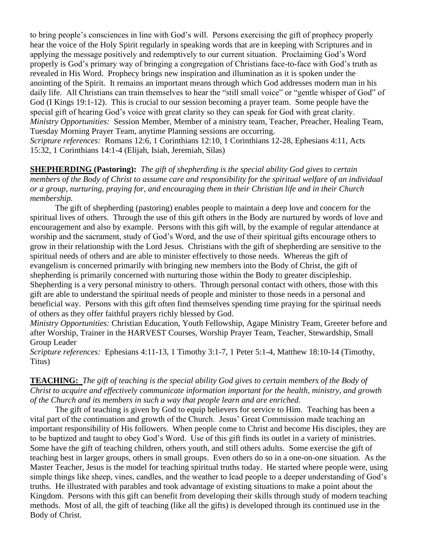to bring people's consciences in line with God's will. Persons exercising the gift of prophecy properly hear the voice of the Holy Spirit regularly in speaking words that are in keeping with Scriptures and in applying the message positively and redemptively to our current situation. Proclaiming God's Word properly is God's primary way of bringing a congregation of Christians face-to-face with God's truth as revealed in His Word. Prophecy brings new inspiration and illumination as it is spoken under the anointing of the Spirit. It remains an important means through which God addresses modern man in his daily life. All Christians can train themselves to hear the "still small voice" or "gentle whisper of God" of God (I Kings 19:1-12). This is crucial to our session becoming a prayer team. Some people have the special gift of hearing God's voice with great clarity so they can speak for God with great clarity. *Ministry Opportunities:* Session Member, Member of a ministry team, Teacher, Preacher, Healing Team, Tuesday Morning Prayer Team, anytime Planning sessions are occurring. *Scripture references:* Romans 12:6, 1 Corinthians 12:10, 1 Corinthians 12-28, Ephesians 4:11, Acts 15:32, 1 Corinthians 14:1-4 (Elijah, Isiah, Jeremiah, Silas)

**SHEPHERDING (Pastoring):** *The gift of shepherding is the special ability God gives to certain members of the Body of Christ to assume care and responsibility for the spiritual welfare of an individual or a group, nurturing, praying for, and encouraging them in their Christian life and in their Church membership.*

The gift of shepherding (pastoring) enables people to maintain a deep love and concern for the spiritual lives of others. Through the use of this gift others in the Body are nurtured by words of love and encouragement and also by example. Persons with this gift will, by the example of regular attendance at worship and the sacrament, study of God's Word, and the use of their spiritual gifts encourage others to grow in their relationship with the Lord Jesus. Christians with the gift of shepherding are sensitive to the spiritual needs of others and are able to minister effectively to those needs. Whereas the gift of evangelism is concerned primarily with bringing new members into the Body of Christ, the gift of shepherding is primarily concerned with nurturing those within the Body to greater discipleship. Shepherding is a very personal ministry to others. Through personal contact with others, those with this gift are able to understand the spiritual needs of people and minister to those needs in a personal and beneficial way. Persons with this gift often find themselves spending time praying for the spiritual needs of others as they offer faithful prayers richly blessed by God.

*Ministry Opportunities:* Christian Education, Youth Fellowship, Agape Ministry Team, Greeter before and after Worship, Trainer in the HARVEST Courses, Worship Prayer Team, Teacher, Stewardship, Small Group Leader

*Scripture references:* Ephesians 4:11-13, 1 Timothy 3:1-7, 1 Peter 5:1-4, Matthew 18:10-14 (Timothy, Titus)

#### **TEACHING:** *The gift of teaching is the special ability God gives to certain members of the Body of Christ to acquire and effectively communicate information important for the health, ministry, and growth of the Church and its members in such a way that people learn and are enriched.*

The gift of teaching is given by God to equip believers for service to Him. Teaching has been a vital part of the continuation and growth of the Church. Jesus' Great Commission made teaching an important responsibility of His followers. When people come to Christ and become His disciples, they are to be baptized and taught to obey God's Word. Use of this gift finds its outlet in a variety of ministries. Some have the gift of teaching children, others youth, and still others adults. Some exercise the gift of teaching best in larger groups, others in small groups. Even others do so in a one-on-one situation. As the Master Teacher, Jesus is the model for teaching spiritual truths today. He started where people were, using simple things like sheep, vines, candles, and the weather to lead people to a deeper understanding of God's truths. He illustrated with parables and took advantage of existing situations to make a point about the Kingdom. Persons with this gift can benefit from developing their skills through study of modern teaching methods. Most of all, the gift of teaching (like all the gifts) is developed through its continued use in the Body of Christ.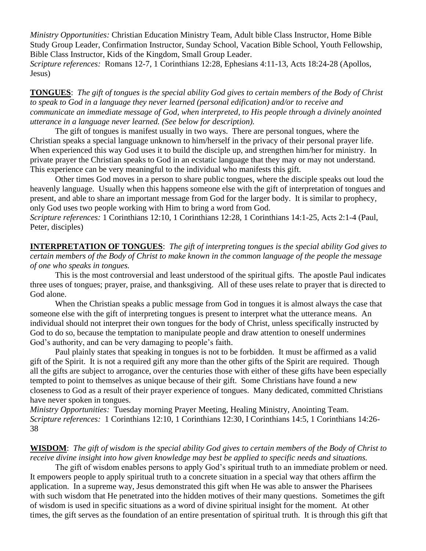*Ministry Opportunities:* Christian Education Ministry Team, Adult bible Class Instructor, Home Bible Study Group Leader, Confirmation Instructor, Sunday School, Vacation Bible School, Youth Fellowship, Bible Class Instructor, Kids of the Kingdom, Small Group Leader. *Scripture references:* Romans 12-7, 1 Corinthians 12:28, Ephesians 4:11-13, Acts 18:24-28 (Apollos, Jesus)

**TONGUES**: *The gift of tongues is the special ability God gives to certain members of the Body of Christ to speak to God in a language they never learned (personal edification) and/or to receive and communicate an immediate message of God, when interpreted, to His people through a divinely anointed utterance in a language never learned. (See below for description).*

 The gift of tongues is manifest usually in two ways. There are personal tongues, where the Christian speaks a special language unknown to him/herself in the privacy of their personal prayer life. When experienced this way God uses it to build the disciple up, and strengthen him/her for ministry. In private prayer the Christian speaks to God in an ecstatic language that they may or may not understand. This experience can be very meaningful to the individual who manifests this gift.

Other times God moves in a person to share public tongues, where the disciple speaks out loud the heavenly language. Usually when this happens someone else with the gift of interpretation of tongues and present, and able to share an important message from God for the larger body. It is similar to prophecy, only God uses two people working with Him to bring a word from God.

*Scripture references:* 1 Corinthians 12:10, 1 Corinthians 12:28, 1 Corinthians 14:1-25, Acts 2:1-4 (Paul, Peter, disciples)

**INTERPRETATION OF TONGUES**: *The gift of interpreting tongues is the special ability God gives to certain members of the Body of Christ to make known in the common language of the people the message of one who speaks in tongues.*

This is the most controversial and least understood of the spiritual gifts. The apostle Paul indicates three uses of tongues; prayer, praise, and thanksgiving. All of these uses relate to prayer that is directed to God alone.

When the Christian speaks a public message from God in tongues it is almost always the case that someone else with the gift of interpreting tongues is present to interpret what the utterance means. An individual should not interpret their own tongues for the body of Christ, unless specifically instructed by God to do so, because the temptation to manipulate people and draw attention to oneself undermines God's authority, and can be very damaging to people's faith.

Paul plainly states that speaking in tongues is not to be forbidden. It must be affirmed as a valid gift of the Spirit. It is not a required gift any more than the other gifts of the Spirit are required. Though all the gifts are subject to arrogance, over the centuries those with either of these gifts have been especially tempted to point to themselves as unique because of their gift. Some Christians have found a new closeness to God as a result of their prayer experience of tongues. Many dedicated, committed Christians have never spoken in tongues.

*Ministry Opportunities:* Tuesday morning Prayer Meeting, Healing Ministry, Anointing Team. *Scripture references:* 1 Corinthians 12:10, 1 Corinthians 12:30, I Corinthians 14:5, 1 Corinthians 14:26- 38

#### **WISDOM**: *The gift of wisdom is the special ability God gives to certain members of the Body of Christ to receive divine insight into how given knowledge may best be applied to specific needs and situations.*

The gift of wisdom enables persons to apply God's spiritual truth to an immediate problem or need. It empowers people to apply spiritual truth to a concrete situation in a special way that others affirm the application. In a supreme way, Jesus demonstrated this gift when He was able to answer the Pharisees with such wisdom that He penetrated into the hidden motives of their many questions. Sometimes the gift of wisdom is used in specific situations as a word of divine spiritual insight for the moment. At other times, the gift serves as the foundation of an entire presentation of spiritual truth. It is through this gift that